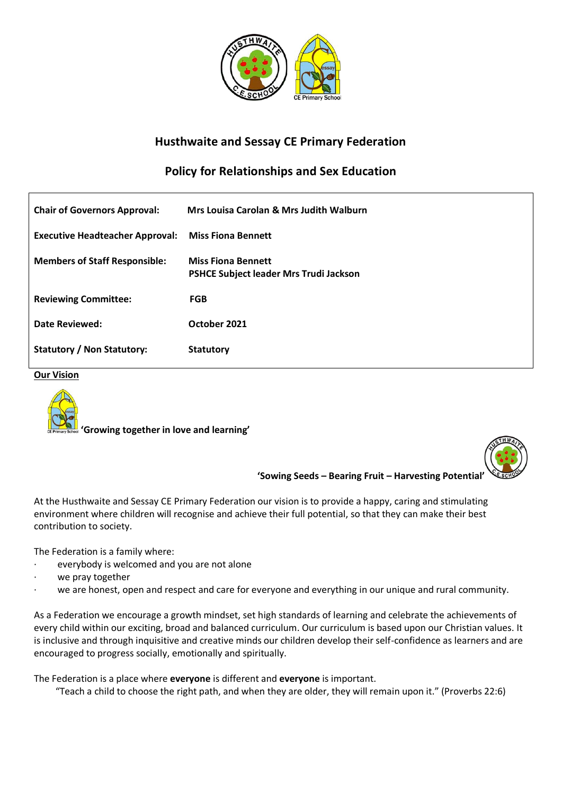

# **Husthwaite and Sessay CE Primary Federation**

# **Policy for Relationships and Sex Education**

| <b>Chair of Governors Approval:</b>    | Mrs Louisa Carolan & Mrs Judith Walburn                             |
|----------------------------------------|---------------------------------------------------------------------|
| <b>Executive Headteacher Approval:</b> | <b>Miss Fiona Bennett</b>                                           |
| <b>Members of Staff Responsible:</b>   | <b>Miss Fiona Bennett</b><br>PSHCE Subject leader Mrs Trudi Jackson |
| <b>Reviewing Committee:</b>            | <b>FGB</b>                                                          |
| Date Reviewed:                         | October 2021                                                        |
| Statutory / Non Statutory:             | <b>Statutory</b>                                                    |

**Our Vision**



 **'Growing together in love and learning'**



**'Sowing Seeds – Bearing Fruit – Harvesting Potential'**

At the Husthwaite and Sessay CE Primary Federation our vision is to provide a happy, caring and stimulating environment where children will recognise and achieve their full potential, so that they can make their best contribution to society.

The Federation is a family where:

- everybody is welcomed and you are not alone
- we pray together
- we are honest, open and respect and care for everyone and everything in our unique and rural community.

As a Federation we encourage a growth mindset, set high standards of learning and celebrate the achievements of every child within our exciting, broad and balanced curriculum. Our curriculum is based upon our Christian values. It is inclusive and through inquisitive and creative minds our children develop their self-confidence as learners and are encouraged to progress socially, emotionally and spiritually.

The Federation is a place where **everyone** is different and **everyone** is important.

"Teach a child to choose the right path, and when they are older, they will remain upon it." (Proverbs 22:6)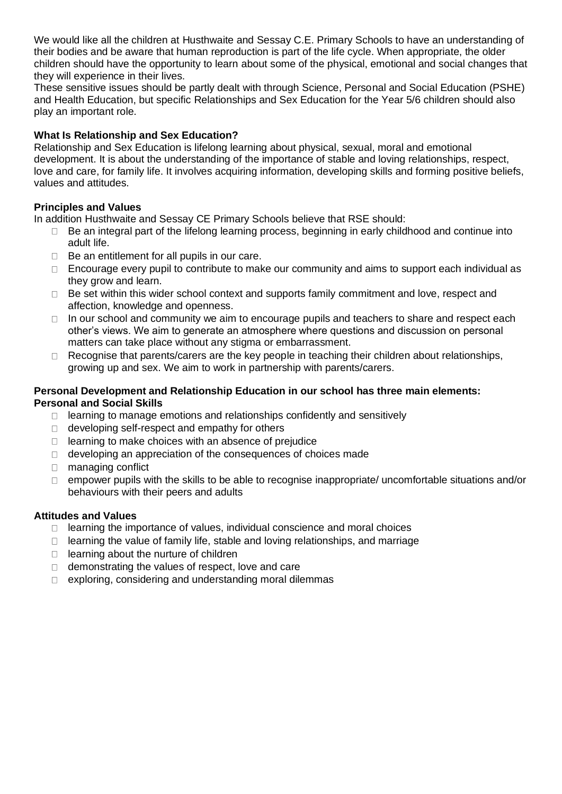We would like all the children at Husthwaite and Sessay C.E. Primary Schools to have an understanding of their bodies and be aware that human reproduction is part of the life cycle. When appropriate, the older children should have the opportunity to learn about some of the physical, emotional and social changes that they will experience in their lives.

These sensitive issues should be partly dealt with through Science, Personal and Social Education (PSHE) and Health Education, but specific Relationships and Sex Education for the Year 5/6 children should also play an important role.

# **What Is Relationship and Sex Education?**

Relationship and Sex Education is lifelong learning about physical, sexual, moral and emotional development. It is about the understanding of the importance of stable and loving relationships, respect, love and care, for family life. It involves acquiring information, developing skills and forming positive beliefs, values and attitudes.

# **Principles and Values**

In addition Husthwaite and Sessay CE Primary Schools believe that RSE should:

- Be an integral part of the lifelong learning process, beginning in early childhood and continue into  $\Box$ adult life.
- $\Box$  Be an entitlement for all pupils in our care.
- $\Box$  Encourage every pupil to contribute to make our community and aims to support each individual as they grow and learn.
- □ Be set within this wider school context and supports family commitment and love, respect and affection, knowledge and openness.
- $\Box$  In our school and community we aim to encourage pupils and teachers to share and respect each other's views. We aim to generate an atmosphere where questions and discussion on personal matters can take place without any stigma or embarrassment.
- $\Box$  Recognise that parents/carers are the key people in teaching their children about relationships, growing up and sex. We aim to work in partnership with parents/carers.

### **Personal Development and Relationship Education in our school has three main elements: Personal and Social Skills**

- $\Box$  learning to manage emotions and relationships confidently and sensitively
- $\Box$  developing self-respect and empathy for others
- $\Box$  learning to make choices with an absence of prejudice
- $\Box$  developing an appreciation of the consequences of choices made
- □ managing conflict
- $\Box$  empower pupils with the skills to be able to recognise inappropriate/ uncomfortable situations and/or behaviours with their peers and adults

# **Attitudes and Values**

- $\Box$  learning the importance of values, individual conscience and moral choices
- $\Box$  learning the value of family life, stable and loving relationships, and marriage
- $\Box$  learning about the nurture of children
- $\Box$  demonstrating the values of respect, love and care
- $\Box$  exploring, considering and understanding moral dilemmas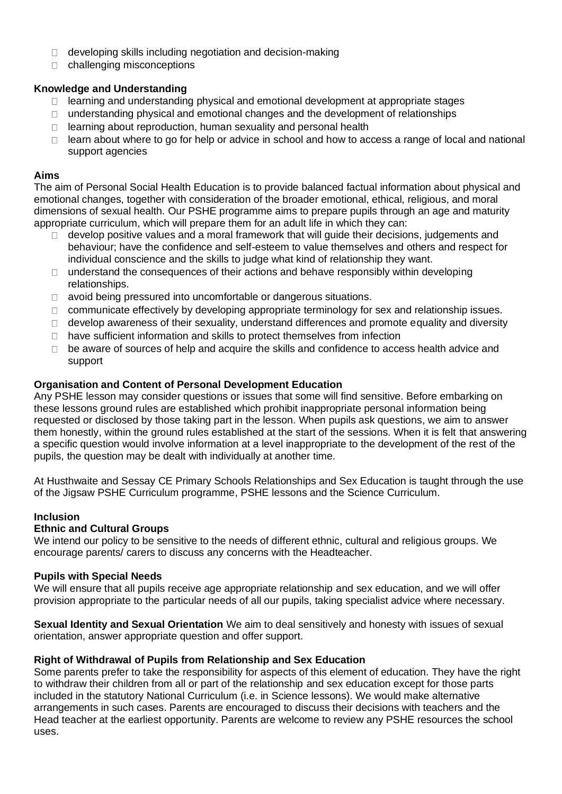- $\Box$  developing skills including negotiation and decision-making
- challenging misconceptions

### **Knowledge and Understanding**

- $\Box$  learning and understanding physical and emotional development at appropriate stages
- understanding physical and emotional changes and the development of relationships  $\Box$
- $\Box$  learning about reproduction, human sexuality and personal health
- $\Box$  learn about where to go for help or advice in school and how to access a range of local and national support agencies

#### **Aims**

The aim of Personal Social Health Education is to provide balanced factual information about physical and emotional changes, together with consideration of the broader emotional, ethical, religious, and moral dimensions of sexual health. Our PSHE programme aims to prepare pupils through an age and maturity appropriate curriculum, which will prepare them for an adult life in which they can:

- develop positive values and a moral framework that will guide their decisions, judgements and  $\Box$ behaviour; have the confidence and self-esteem to value themselves and others and respect for individual conscience and the skills to judge what kind of relationship they want.
- $\Box$  understand the consequences of their actions and behave responsibly within developing relationships.
- avoid being pressured into uncomfortable or dangerous situations.
- □ communicate effectively by developing appropriate terminology for sex and relationship issues.
- $\Box$  develop awareness of their sexuality, understand differences and promote equality and diversity
- □ have sufficient information and skills to protect themselves from infection
- $\Box$  be aware of sources of help and acquire the skills and confidence to access health advice and support

#### **Organisation and Content of Personal Development Education**

Any PSHE lesson may consider questions or issues that some will find sensitive. Before embarking on these lessons ground rules are established which prohibit inappropriate personal information being requested or disclosed by those taking part in the lesson. When pupils ask questions, we aim to answer them honestly, within the ground rules established at the start of the sessions. When it is felt that answering a specific question would involve information at a level inappropriate to the development of the rest of the pupils, the question may be dealt with individually at another time.

At Husthwaite and Sessay CE Primary Schools Relationships and Sex Education is taught through the use of the Jigsaw PSHE Curriculum programme, PSHE lessons and the Science Curriculum.

#### **Inclusion**

#### **Ethnic and Cultural Groups**

We intend our policy to be sensitive to the needs of different ethnic, cultural and religious groups. We encourage parents/ carers to discuss any concerns with the Headteacher.

#### **Pupils with Special Needs**

We will ensure that all pupils receive age appropriate relationship and sex education, and we will offer provision appropriate to the particular needs of all our pupils, taking specialist advice where necessary.

**Sexual Identity and Sexual Orientation** We aim to deal sensitively and honesty with issues of sexual orientation, answer appropriate question and offer support.

#### **Right of Withdrawal of Pupils from Relationship and Sex Education**

Some parents prefer to take the responsibility for aspects of this element of education. They have the right to withdraw their children from all or part of the relationship and sex education except for those parts included in the statutory National Curriculum (i.e. in Science lessons). We would make alternative arrangements in such cases. Parents are encouraged to discuss their decisions with teachers and the Head teacher at the earliest opportunity. Parents are welcome to review any PSHE resources the school uses.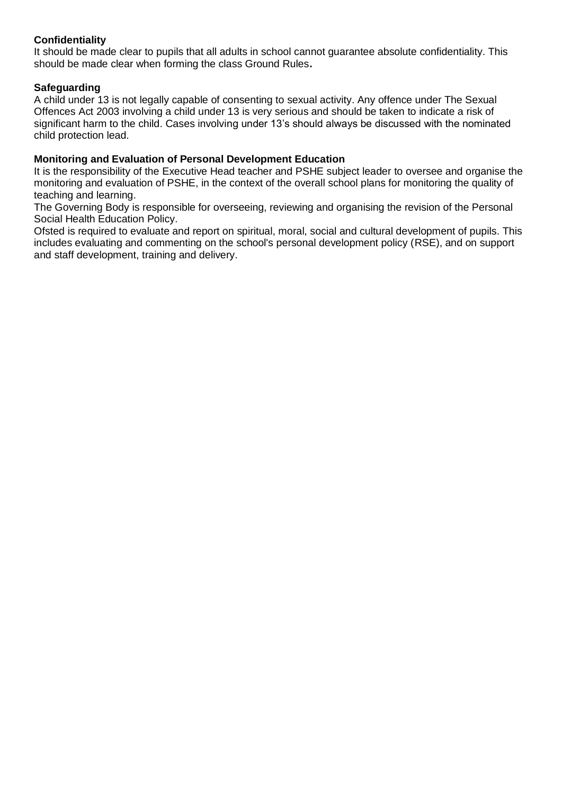### **Confidentiality**

It should be made clear to pupils that all adults in school cannot guarantee absolute confidentiality. This should be made clear when forming the class Ground Rules**.** 

#### **Safeguarding**

A child under 13 is not legally capable of consenting to sexual activity. Any offence under The Sexual Offences Act 2003 involving a child under 13 is very serious and should be taken to indicate a risk of significant harm to the child. Cases involving under 13's should always be discussed with the nominated child protection lead.

#### **Monitoring and Evaluation of Personal Development Education**

It is the responsibility of the Executive Head teacher and PSHE subject leader to oversee and organise the monitoring and evaluation of PSHE, in the context of the overall school plans for monitoring the quality of teaching and learning.

The Governing Body is responsible for overseeing, reviewing and organising the revision of the Personal Social Health Education Policy.

Ofsted is required to evaluate and report on spiritual, moral, social and cultural development of pupils. This includes evaluating and commenting on the school's personal development policy (RSE), and on support and staff development, training and delivery.